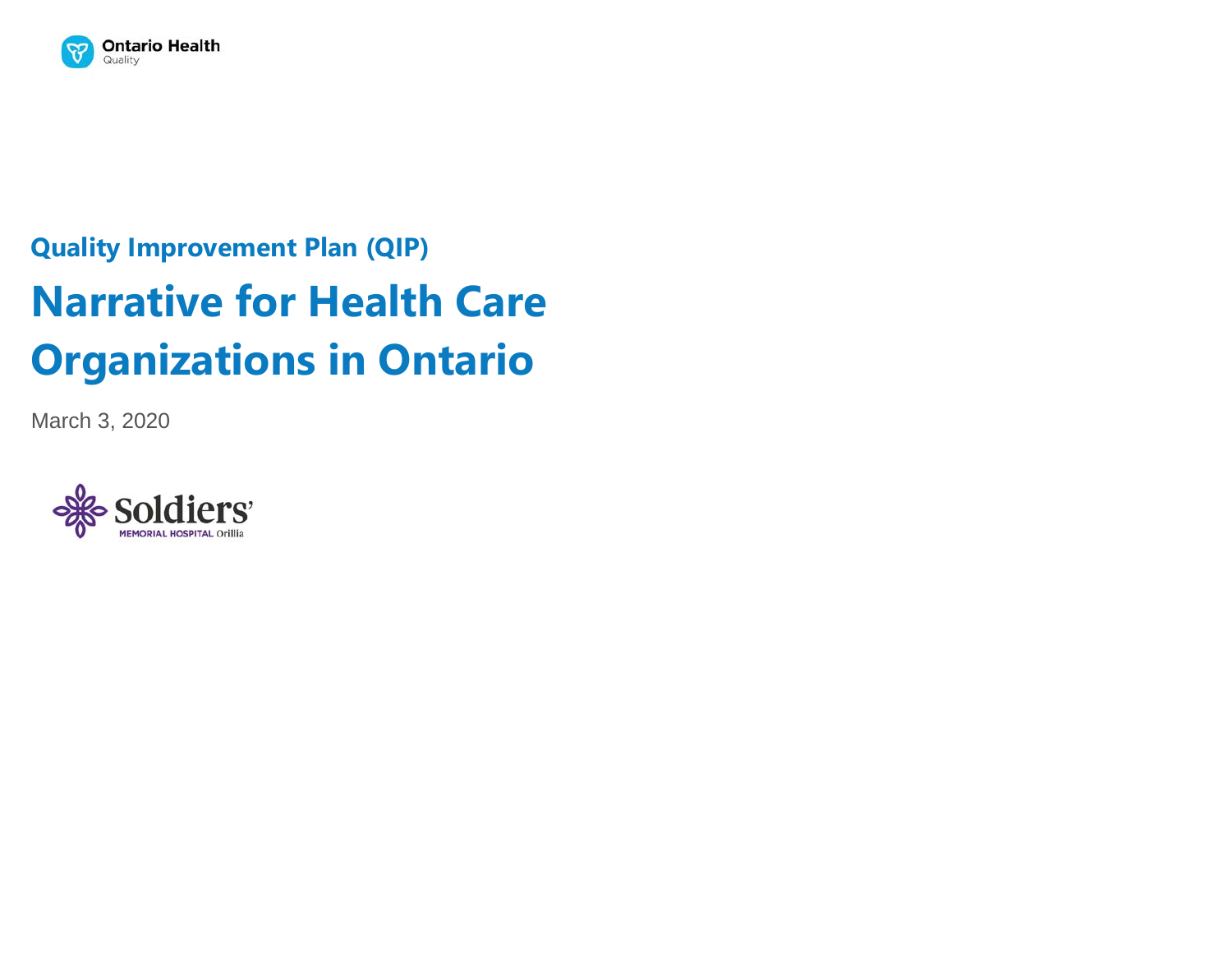

# **Quality Improvement Plan (QIP) Narrative for Health Care Organizations in Ontario**

March 3, 2020

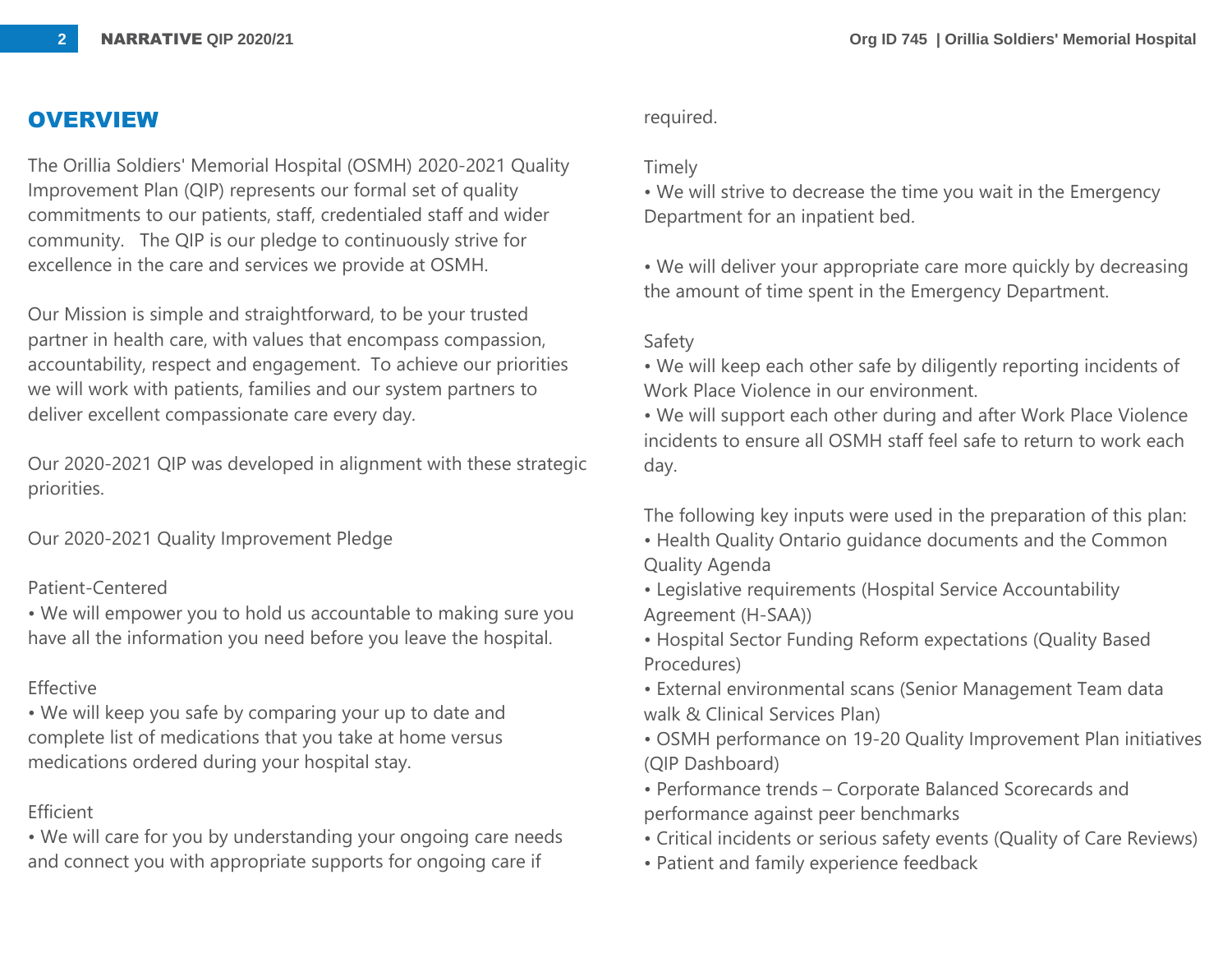# **OVERVIEW**

The Orillia Soldiers' Memorial Hospital (OSMH) 2020-2021 Quality Improvement Plan (QIP) represents our formal set of quality commitments to our patients, staff, credentialed staff and wider community. The QIP is our pledge to continuously strive for excellence in the care and services we provide at OSMH.

Our Mission is simple and straightforward, to be your trusted partner in health care, with values that encompass compassion, accountability, respect and engagement. To achieve our priorities we will work with patients, families and our system partners to deliver excellent compassionate care every day.

Our 2020-2021 QIP was developed in alignment with these strategic priorities.

Our 2020-2021 Quality Improvement Pledge

### Patient-Centered

• We will empower you to hold us accountable to making sure you have all the information you need before you leave the hospital.

## Effective

• We will keep you safe by comparing your up to date and complete list of medications that you take at home versus medications ordered during your hospital stay.

# Efficient

• We will care for you by understanding your ongoing care needs and connect you with appropriate supports for ongoing care if

### required.

### Timely

• We will strive to decrease the time you wait in the Emergency Department for an inpatient bed.

• We will deliver your appropriate care more quickly by decreasing the amount of time spent in the Emergency Department.

#### Safety

• We will keep each other safe by diligently reporting incidents of Work Place Violence in our environment.

• We will support each other during and after Work Place Violence incidents to ensure all OSMH staff feel safe to return to work each day.

The following key inputs were used in the preparation of this plan:

- Health Quality Ontario guidance documents and the Common Quality Agenda
- Legislative requirements (Hospital Service Accountability Agreement (H-SAA))
- Hospital Sector Funding Reform expectations (Quality Based Procedures)
- External environmental scans (Senior Management Team data walk & Clinical Services Plan)
- OSMH performance on 19-20 Quality Improvement Plan initiatives (QIP Dashboard)
- Performance trends Corporate Balanced Scorecards and performance against peer benchmarks
- Critical incidents or serious safety events (Quality of Care Reviews)
- Patient and family experience feedback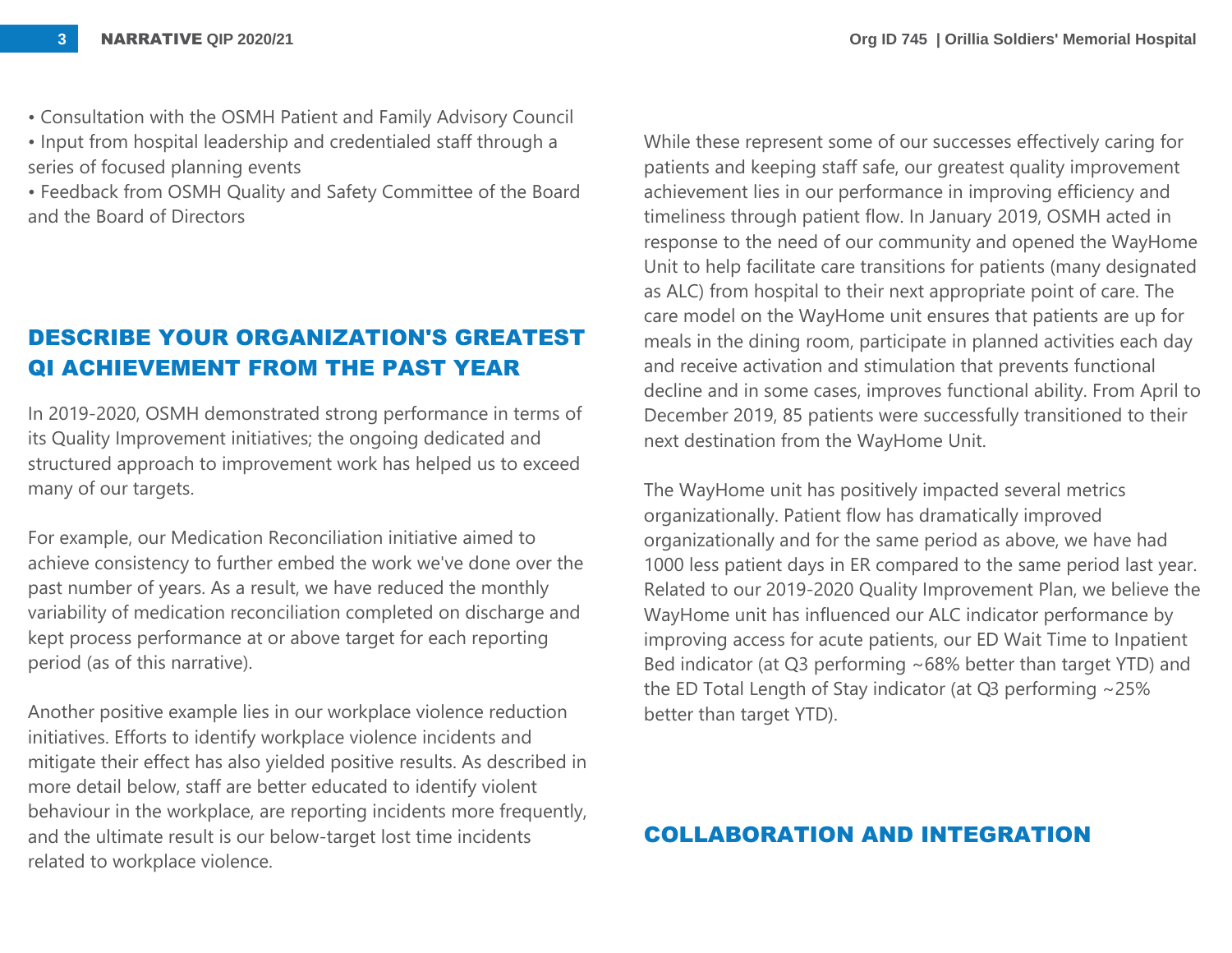• Consultation with the OSMH Patient and Family Advisory Council

• Input from hospital leadership and credentialed staff through a series of focused planning events

• Feedback from OSMH Quality and Safety Committee of the Board and the Board of Directors

# **DESCRIBE YOUR ORGANIZATION'S GREATEST QI ACHIEVEMENT FROM THE PAST YEAR**

In 2019-2020, OSMH demonstrated strong performance in terms of its Quality Improvement initiatives; the ongoing dedicated and structured approach to improvement work has helped us to exceed many of our targets.

For example, our Medication Reconciliation initiative aimed to achieve consistency to further embed the work we've done over the past number of years. As a result, we have reduced the monthly variability of medication reconciliation completed on discharge and kept process performance at or above target for each reporting period (as of this narrative).

Another positive example lies in our workplace violence reduction initiatives. Efforts to identify workplace violence incidents and mitigate their effect has also yielded positive results. As described in more detail below, staff are better educated to identify violent behaviour in the workplace, are reporting incidents more frequently, and the ultimate result is our below-target lost time incidents related to workplace violence.

While these represent some of our successes effectively caring for patients and keeping staff safe, our greatest quality improvement achievement lies in our performance in improving efficiency and timeliness through patient flow. In January 2019, OSMH acted in response to the need of our community and opened the WayHome Unit to help facilitate care transitions for patients (many designated as ALC) from hospital to their next appropriate point of care. The care model on the WayHome unit ensures that patients are up for meals in the dining room, participate in planned activities each day and receive activation and stimulation that prevents functional decline and in some cases, improves functional ability. From April to December 2019, 85 patients were successfully transitioned to their next destination from the WayHome Unit.

The WayHome unit has positively impacted several metrics organizationally. Patient flow has dramatically improved organizationally and for the same period as above, we have had 1000 less patient days in ER compared to the same period last year. Related to our 2019-2020 Quality Improvement Plan, we believe the WayHome unit has influenced our ALC indicator performance by improving access for acute patients, our ED Wait Time to Inpatient Bed indicator (at Q3 performing ~68% better than target YTD) and the ED Total Length of Stay indicator (at Q3 performing ~25% better than target YTD).

#### **COLLABORATION AND INTEGRATION**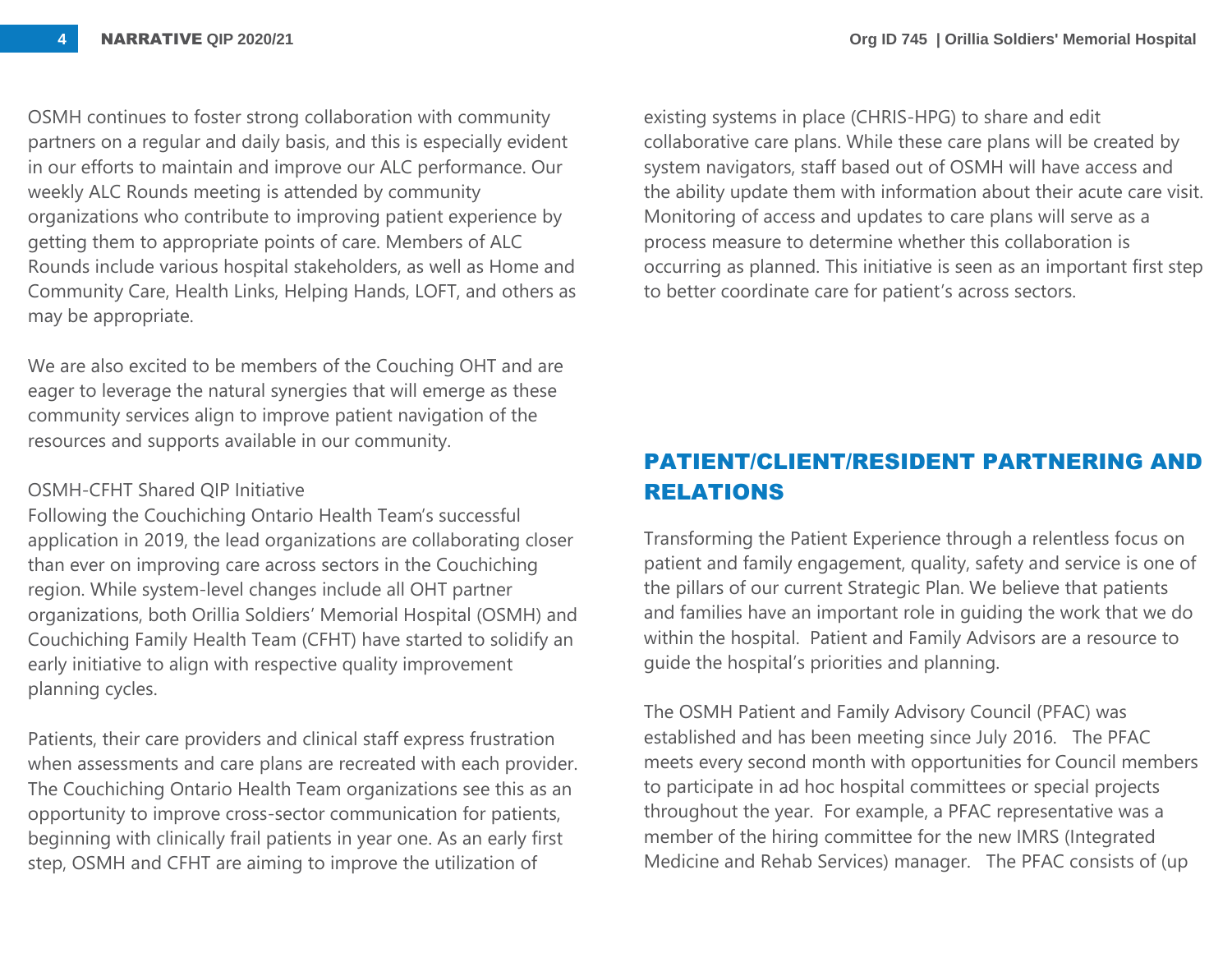OSMH continues to foster strong collaboration with community partners on a regular and daily basis, and this is especially evident in our efforts to maintain and improve our ALC performance. Our weekly ALC Rounds meeting is attended by community organizations who contribute to improving patient experience by getting them to appropriate points of care. Members of ALC Rounds include various hospital stakeholders, as well as Home and Community Care, Health Links, Helping Hands, LOFT, and others as may be appropriate.

We are also excited to be members of the Couching OHT and are eager to leverage the natural synergies that will emerge as these community services align to improve patient navigation of the resources and supports available in our community.

#### OSMH-CFHT Shared QIP Initiative

Following the Couchiching Ontario Health Team's successful application in 2019, the lead organizations are collaborating closer than ever on improving care across sectors in the Couchiching region. While system-level changes include all OHT partner organizations, both Orillia Soldiers' Memorial Hospital (OSMH) and Couchiching Family Health Team (CFHT) have started to solidify an early initiative to align with respective quality improvement planning cycles.

Patients, their care providers and clinical staff express frustration when assessments and care plans are recreated with each provider. The Couchiching Ontario Health Team organizations see this as an opportunity to improve cross-sector communication for patients, beginning with clinically frail patients in year one. As an early first step, OSMH and CFHT are aiming to improve the utilization of

existing systems in place (CHRIS-HPG) to share and edit collaborative care plans. While these care plans will be created by system navigators, staff based out of OSMH will have access and the ability update them with information about their acute care visit. Monitoring of access and updates to care plans will serve as a process measure to determine whether this collaboration is occurring as planned. This initiative is seen as an important first step to better coordinate care for patient's across sectors.

# **PATIENT/CLIENT/RESIDENT PARTNERING AND RELATIONS**

Transforming the Patient Experience through a relentless focus on patient and family engagement, quality, safety and service is one of the pillars of our current Strategic Plan. We believe that patients and families have an important role in guiding the work that we do within the hospital. Patient and Family Advisors are a resource to guide the hospital's priorities and planning.

The OSMH Patient and Family Advisory Council (PFAC) was established and has been meeting since July 2016. The PFAC meets every second month with opportunities for Council members to participate in ad hoc hospital committees or special projects throughout the year. For example, a PFAC representative was a member of the hiring committee for the new IMRS (Integrated Medicine and Rehab Services) manager. The PFAC consists of (up

**4**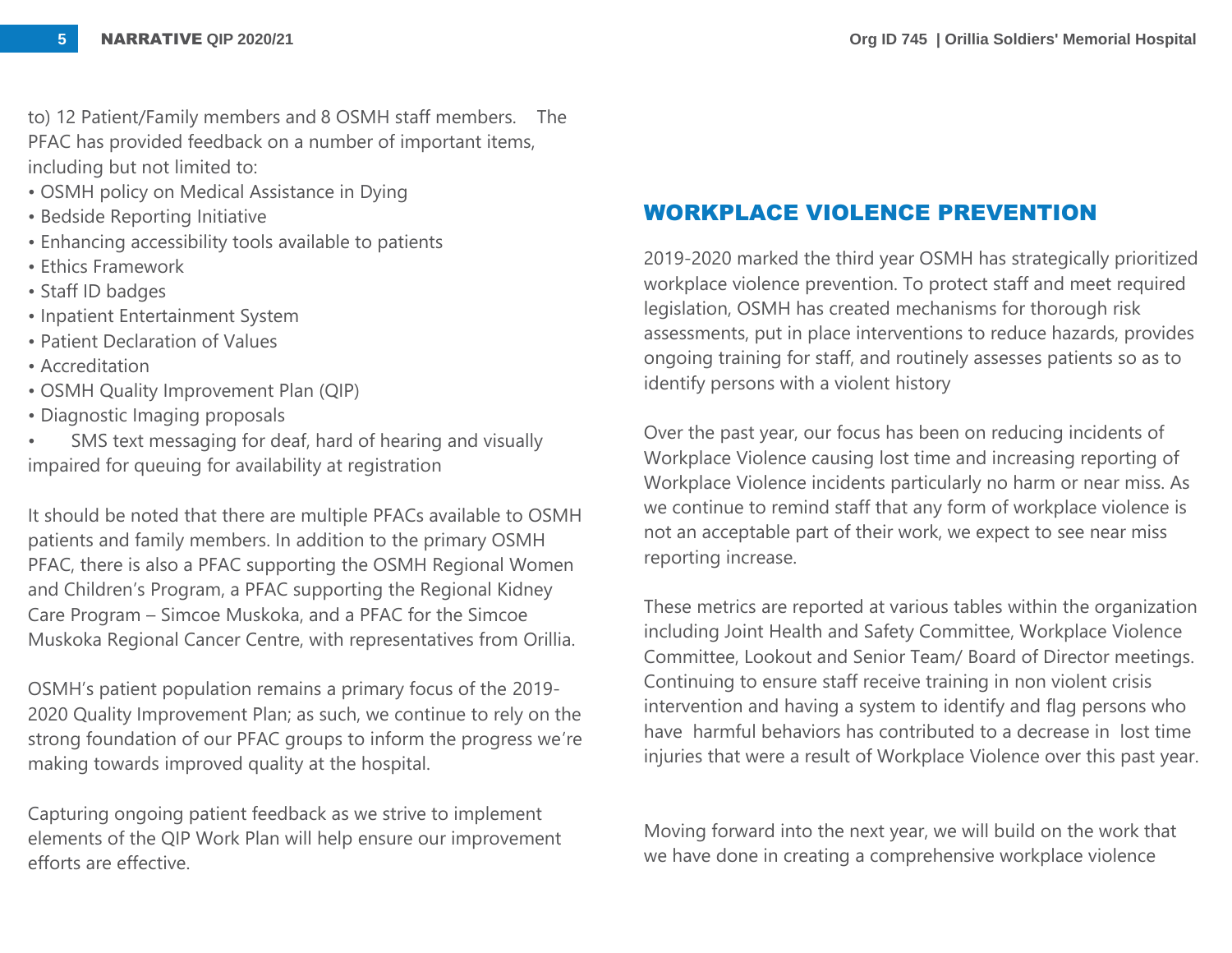to) 12 Patient/Family members and 8 OSMH staff members. The PFAC has provided feedback on a number of important items, including but not limited to:

- OSMH policy on Medical Assistance in Dying
- Bedside Reporting Initiative
- Enhancing accessibility tools available to patients
- Ethics Framework
- Staff ID badges
- Inpatient Entertainment System
- Patient Declaration of Values
- Accreditation
- OSMH Quality Improvement Plan (QIP)
- Diagnostic Imaging proposals
- SMS text messaging for deaf, hard of hearing and visually impaired for queuing for availability at registration

It should be noted that there are multiple PFACs available to OSMH patients and family members. In addition to the primary OSMH PFAC, there is also a PFAC supporting the OSMH Regional Women and Children's Program, a PFAC supporting the Regional Kidney Care Program – Simcoe Muskoka, and a PFAC for the Simcoe Muskoka Regional Cancer Centre, with representatives from Orillia.

OSMH's patient population remains a primary focus of the 2019- 2020 Quality Improvement Plan; as such, we continue to rely on the strong foundation of our PFAC groups to inform the progress we're making towards improved quality at the hospital.

Capturing ongoing patient feedback as we strive to implement elements of the QIP Work Plan will help ensure our improvement efforts are effective.

## **WORKPLACE VIOLENCE PREVENTION**

2019-2020 marked the third year OSMH has strategically prioritized workplace violence prevention. To protect staff and meet required legislation, OSMH has created mechanisms for thorough risk assessments, put in place interventions to reduce hazards, provides ongoing training for staff, and routinely assesses patients so as to identify persons with a violent history

Over the past year, our focus has been on reducing incidents of Workplace Violence causing lost time and increasing reporting of Workplace Violence incidents particularly no harm or near miss. As we continue to remind staff that any form of workplace violence is not an acceptable part of their work, we expect to see near miss reporting increase.

These metrics are reported at various tables within the organization including Joint Health and Safety Committee, Workplace Violence Committee, Lookout and Senior Team/ Board of Director meetings. Continuing to ensure staff receive training in non violent crisis intervention and having a system to identify and flag persons who have harmful behaviors has contributed to a decrease in lost time injuries that were a result of Workplace Violence over this past year.

Moving forward into the next year, we will build on the work that we have done in creating a comprehensive workplace violence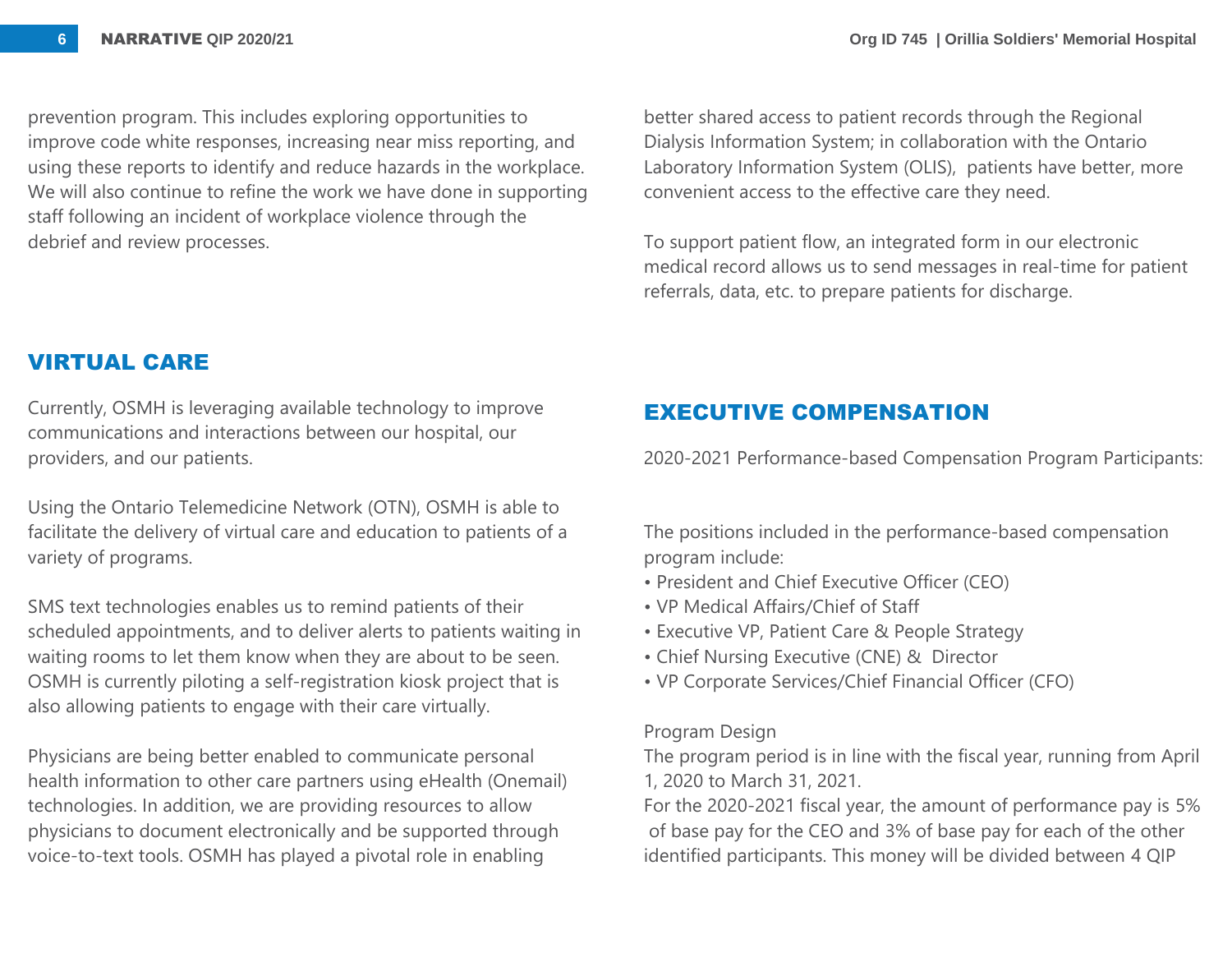prevention program. This includes exploring opportunities to improve code white responses, increasing near miss reporting, and using these reports to identify and reduce hazards in the workplace. We will also continue to refine the work we have done in supporting staff following an incident of workplace violence through the debrief and review processes.

**VIRTUAL CARE**

Currently, OSMH is leveraging available technology to improve communications and interactions between our hospital, our providers, and our patients.

Using the Ontario Telemedicine Network (OTN), OSMH is able to facilitate the delivery of virtual care and education to patients of a variety of programs.

SMS text technologies enables us to remind patients of their scheduled appointments, and to deliver alerts to patients waiting in waiting rooms to let them know when they are about to be seen. OSMH is currently piloting a self-registration kiosk project that is also allowing patients to engage with their care virtually.

Physicians are being better enabled to communicate personal health information to other care partners using eHealth (Onemail) technologies. In addition, we are providing resources to allow physicians to document electronically and be supported through voice-to-text tools. OSMH has played a pivotal role in enabling

better shared access to patient records through the Regional Dialysis Information System; in collaboration with the Ontario Laboratory Information System (OLIS), patients have better, more convenient access to the effective care they need.

To support patient flow, an integrated form in our electronic medical record allows us to send messages in real-time for patient referrals, data, etc. to prepare patients for discharge.

# **EXECUTIVE COMPENSATION**

2020-2021 Performance-based Compensation Program Participants:

The positions included in the performance-based compensation program include:

- President and Chief Executive Officer (CEO)
- VP Medical Affairs/Chief of Staff
- Executive VP, Patient Care & People Strategy
- Chief Nursing Executive (CNE) & Director
- VP Corporate Services/Chief Financial Officer (CFO)

#### Program Design

The program period is in line with the fiscal year, running from April 1, 2020 to March 31, 2021.

For the 2020-2021 fiscal year, the amount of performance pay is 5% of base pay for the CEO and 3% of base pay for each of the other identified participants. This money will be divided between 4 QIP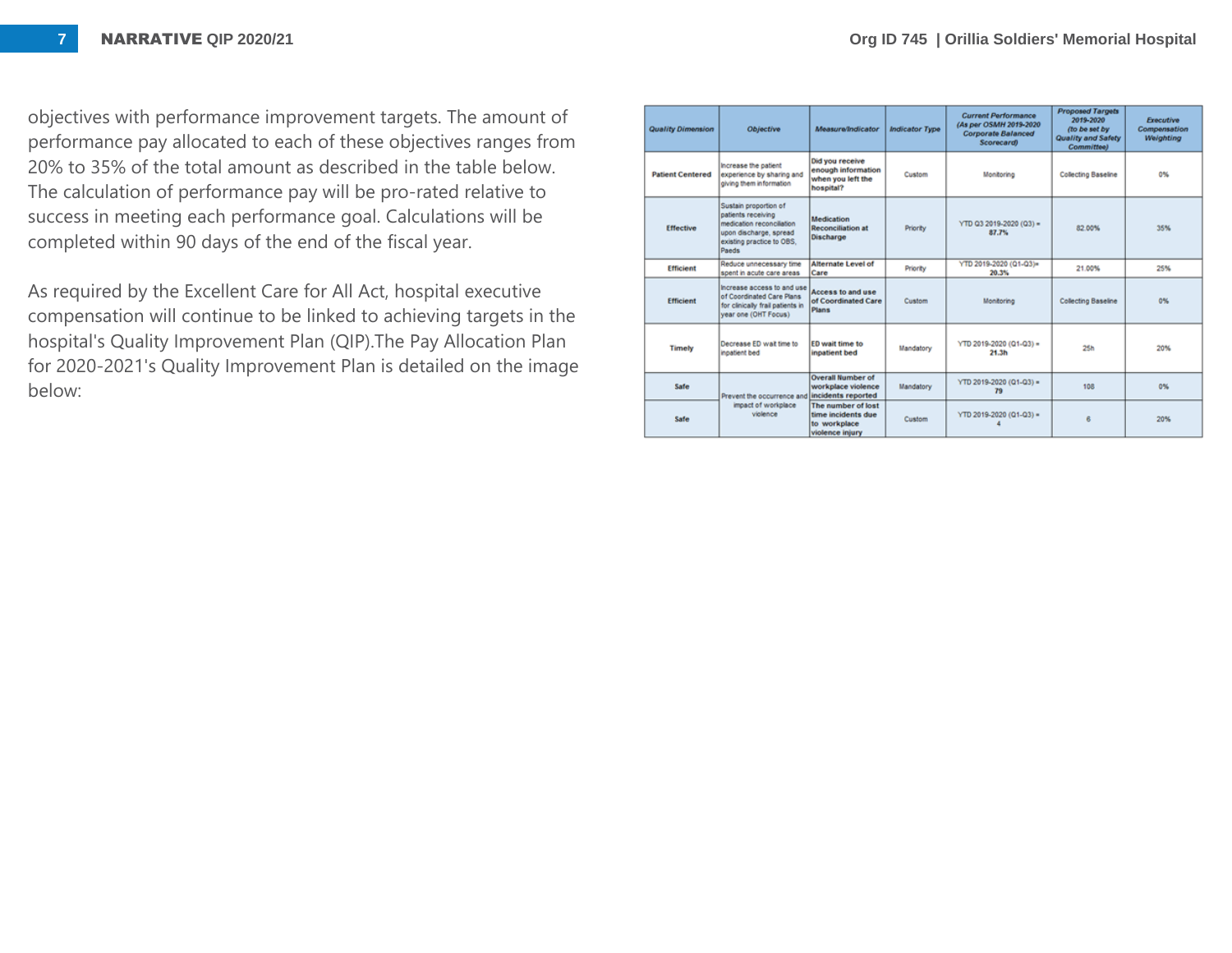objectives with performance improvement targets. The amount of performance pay allocated to each of these objectives ranges from 20% to 35% of the total amount as described in the table below. The calculation of performance pay will be pro-rated relative to success in meeting each performance goal. Calculations will be completed within 90 days of the end of the fiscal year.

As required by the Excellent Care for All Act, hospital executive compensation will continue to be linked to achieving targets in the hospital's Quality Improvement Plan (QIP).The Pay Allocation Plan for 2020-2021's Quality Improvement Plan is detailed on the image below:

| <b>Quality Dimension</b> | Objective                                                                                                                               | <b>Measure/Indicator</b>                                                    | <b>Indicator Type</b> | <b>Current Performance</b><br>(As per OSMH 2019-2020)<br><b>Corporate Balanced</b><br><b>Scorecard</b> | <b>Proposed Targets</b><br>2019-2020<br>(to be set by<br><b>Quality and Safety</b><br><b>Committee)</b> | <b>Executive</b><br>Compensation<br>Weighting |
|--------------------------|-----------------------------------------------------------------------------------------------------------------------------------------|-----------------------------------------------------------------------------|-----------------------|--------------------------------------------------------------------------------------------------------|---------------------------------------------------------------------------------------------------------|-----------------------------------------------|
| <b>Patient Centered</b>  | Increase the patient<br>experience by sharing and<br>giving them information                                                            | Did you receive<br>enough information<br>when you left the<br>hospital?     | Custom                | Monitorino                                                                                             | <b>Collecting Baseline</b>                                                                              | 0%                                            |
| <b>Effective</b>         | Sustain proportion of<br>patients receiving<br>medication reconcilation<br>upon discharge, spread<br>existing practice to OBS,<br>Paeds | Medication<br><b>Reconciliation at</b><br>Discharge                         | Priority              | YTD Q3 2019-2020 (Q3) =<br>87.7%                                                                       | 82.00%                                                                                                  | 35%                                           |
| <b>Efficient</b>         | Reduce unnecessary time<br>spent in acute care areas                                                                                    | Alternate Level of<br>Care                                                  | Priority              | YTD 2019-2020 (Q1-Q3)=<br>20.3%                                                                        | 21.00%                                                                                                  | 25%                                           |
| <b>Efficient</b>         | Increase access to and use<br>of Coordinated Care Plans<br>for clinically frail patients in<br>year one (OHT Focus)                     | Access to and use<br>of Coordinated Care<br><b>Plans</b>                    | Custom                | Monitoring                                                                                             | <b>Collecting Baseline</b>                                                                              | 0%                                            |
| <b>Timely</b>            | Decrease ED wait time to<br>inpatient bed                                                                                               | ED wait time to<br>inpatient bed                                            | Mandatory             | YTD 2019-2020 (Q1-Q3) =<br>21.3h                                                                       | 25h                                                                                                     | 20%                                           |
| Safe                     | Prevent the occurrence and incidents reported<br>impact of workplace<br>violence                                                        | <b>Overall Number of</b><br>workplace violence                              | Mandatory             | YTD 2019-2020 (Q1-Q3) =<br>79                                                                          | 108                                                                                                     | 0%                                            |
| Safe                     |                                                                                                                                         | The number of lost<br>time incidents due<br>to workplace<br>violence injury | Custom                | YTD 2019-2020 (Q1-Q3) =                                                                                | R                                                                                                       | 20%                                           |